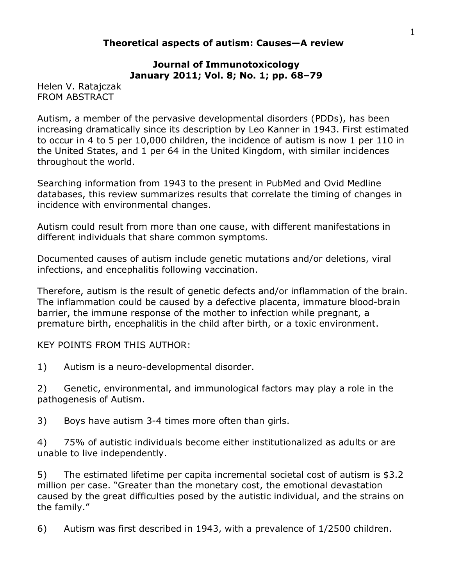### **Theoretical aspects of autism: Causes—A review**

### **Journal of Immunotoxicology January 2011; Vol. 8; No. 1; pp. 68–79**

Helen V. Ratajczak FROM ABSTRACT

Autism, a member of the pervasive developmental disorders (PDDs), has been increasing dramatically since its description by Leo Kanner in 1943. First estimated to occur in 4 to 5 per 10,000 children, the incidence of autism is now 1 per 110 in the United States, and 1 per 64 in the United Kingdom, with similar incidences throughout the world.

Searching information from 1943 to the present in PubMed and Ovid Medline databases, this review summarizes results that correlate the timing of changes in incidence with environmental changes.

Autism could result from more than one cause, with different manifestations in different individuals that share common symptoms.

Documented causes of autism include genetic mutations and/or deletions, viral infections, and encephalitis following vaccination.

Therefore, autism is the result of genetic defects and/or inflammation of the brain. The inflammation could be caused by a defective placenta, immature blood-brain barrier, the immune response of the mother to infection while pregnant, a premature birth, encephalitis in the child after birth, or a toxic environment.

KEY POINTS FROM THIS AUTHOR:

1) Autism is a neuro-developmental disorder.

2) Genetic, environmental, and immunological factors may play a role in the pathogenesis of Autism.

3) Boys have autism 3-4 times more often than girls.

4) 75% of autistic individuals become either institutionalized as adults or are unable to live independently.

5) The estimated lifetime per capita incremental societal cost of autism is \$3.2 million per case. "Greater than the monetary cost, the emotional devastation caused by the great difficulties posed by the autistic individual, and the strains on the family."

6) Autism was first described in 1943, with a prevalence of 1/2500 children.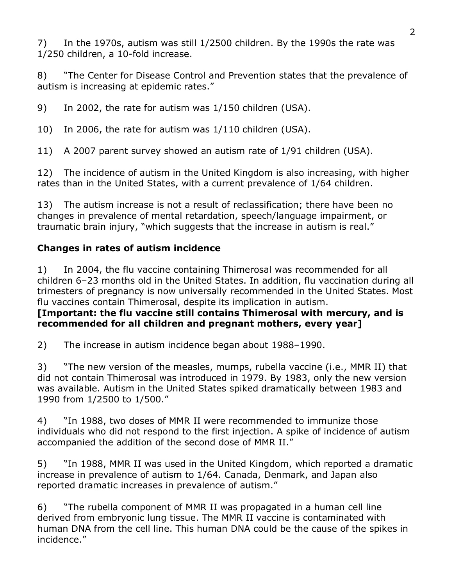7) In the 1970s, autism was still 1/2500 children. By the 1990s the rate was 1/250 children, a 10-fold increase.

8) "The Center for Disease Control and Prevention states that the prevalence of autism is increasing at epidemic rates."

9) In 2002, the rate for autism was 1/150 children (USA).

10) In 2006, the rate for autism was 1/110 children (USA).

11) A 2007 parent survey showed an autism rate of 1/91 children (USA).

12) The incidence of autism in the United Kingdom is also increasing, with higher rates than in the United States, with a current prevalence of 1/64 children.

13) The autism increase is not a result of reclassification; there have been no changes in prevalence of mental retardation, speech/language impairment, or traumatic brain injury, "which suggests that the increase in autism is real."

# **Changes in rates of autism incidence**

1) In 2004, the flu vaccine containing Thimerosal was recommended for all children 6–23 months old in the United States. In addition, flu vaccination during all trimesters of pregnancy is now universally recommended in the United States. Most flu vaccines contain Thimerosal, despite its implication in autism.

## **[Important: the flu vaccine still contains Thimerosal with mercury, and is recommended for all children and pregnant mothers, every year]**

2) The increase in autism incidence began about 1988–1990.

3) "The new version of the measles, mumps, rubella vaccine (i.e., MMR II) that did not contain Thimerosal was introduced in 1979. By 1983, only the new version was available. Autism in the United States spiked dramatically between 1983 and 1990 from 1/2500 to 1/500."

4) "In 1988, two doses of MMR II were recommended to immunize those individuals who did not respond to the first injection. A spike of incidence of autism accompanied the addition of the second dose of MMR II."

5) "In 1988, MMR II was used in the United Kingdom, which reported a dramatic increase in prevalence of autism to 1/64. Canada, Denmark, and Japan also reported dramatic increases in prevalence of autism."

6) "The rubella component of MMR II was propagated in a human cell line derived from embryonic lung tissue. The MMR II vaccine is contaminated with human DNA from the cell line. This human DNA could be the cause of the spikes in incidence."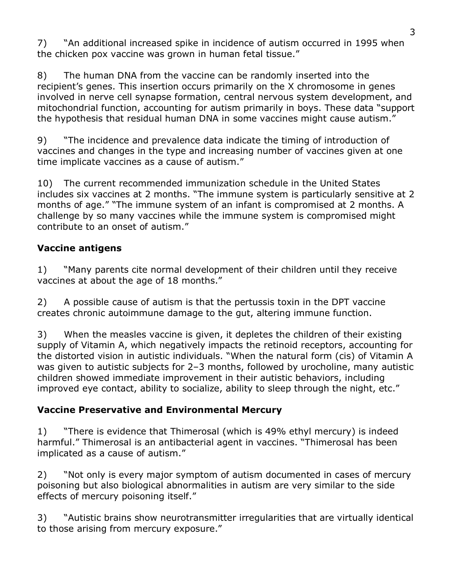7) "An additional increased spike in incidence of autism occurred in 1995 when the chicken pox vaccine was grown in human fetal tissue."

8) The human DNA from the vaccine can be randomly inserted into the recipient's genes. This insertion occurs primarily on the X chromosome in genes involved in nerve cell synapse formation, central nervous system development, and mitochondrial function, accounting for autism primarily in boys. These data "support the hypothesis that residual human DNA in some vaccines might cause autism."

9) "The incidence and prevalence data indicate the timing of introduction of vaccines and changes in the type and increasing number of vaccines given at one time implicate vaccines as a cause of autism."

10) The current recommended immunization schedule in the United States includes six vaccines at 2 months. "The immune system is particularly sensitive at 2 months of age." "The immune system of an infant is compromised at 2 months. A challenge by so many vaccines while the immune system is compromised might contribute to an onset of autism."

## **Vaccine antigens**

1) "Many parents cite normal development of their children until they receive vaccines at about the age of 18 months."

2) A possible cause of autism is that the pertussis toxin in the DPT vaccine creates chronic autoimmune damage to the gut, altering immune function.

3) When the measles vaccine is given, it depletes the children of their existing supply of Vitamin A, which negatively impacts the retinoid receptors, accounting for the distorted vision in autistic individuals. "When the natural form (cis) of Vitamin A was given to autistic subjects for 2–3 months, followed by urocholine, many autistic children showed immediate improvement in their autistic behaviors, including improved eye contact, ability to socialize, ability to sleep through the night, etc."

## **Vaccine Preservative and Environmental Mercury**

1) "There is evidence that Thimerosal (which is 49% ethyl mercury) is indeed harmful." Thimerosal is an antibacterial agent in vaccines. "Thimerosal has been implicated as a cause of autism."

2) "Not only is every major symptom of autism documented in cases of mercury poisoning but also biological abnormalities in autism are very similar to the side effects of mercury poisoning itself."

3) "Autistic brains show neurotransmitter irregularities that are virtually identical to those arising from mercury exposure."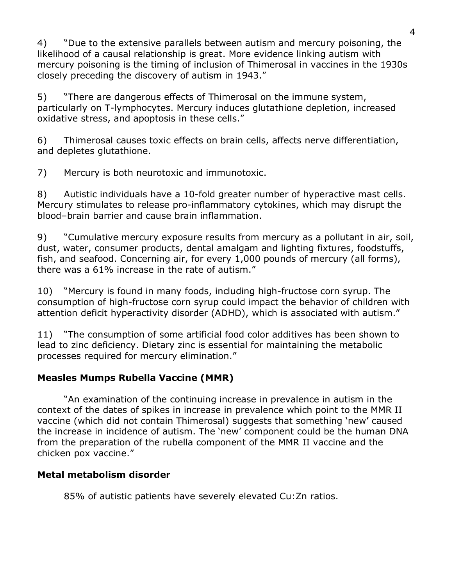4) "Due to the extensive parallels between autism and mercury poisoning, the likelihood of a causal relationship is great. More evidence linking autism with mercury poisoning is the timing of inclusion of Thimerosal in vaccines in the 1930s closely preceding the discovery of autism in 1943."

5) "There are dangerous effects of Thimerosal on the immune system, particularly on T-lymphocytes. Mercury induces glutathione depletion, increased oxidative stress, and apoptosis in these cells."

6) Thimerosal causes toxic effects on brain cells, affects nerve differentiation, and depletes glutathione.

7) Mercury is both neurotoxic and immunotoxic.

8) Autistic individuals have a 10-fold greater number of hyperactive mast cells. Mercury stimulates to release pro-inflammatory cytokines, which may disrupt the blood–brain barrier and cause brain inflammation.

9) "Cumulative mercury exposure results from mercury as a pollutant in air, soil, dust, water, consumer products, dental amalgam and lighting fixtures, foodstuffs, fish, and seafood. Concerning air, for every 1,000 pounds of mercury (all forms), there was a 61% increase in the rate of autism."

10) "Mercury is found in many foods, including high-fructose corn syrup. The consumption of high-fructose corn syrup could impact the behavior of children with attention deficit hyperactivity disorder (ADHD), which is associated with autism."

11) "The consumption of some artificial food color additives has been shown to lead to zinc deficiency. Dietary zinc is essential for maintaining the metabolic processes required for mercury elimination."

# **Measles Mumps Rubella Vaccine (MMR)**

"An examination of the continuing increase in prevalence in autism in the context of the dates of spikes in increase in prevalence which point to the MMR II vaccine (which did not contain Thimerosal) suggests that something 'new' caused the increase in incidence of autism. The 'new' component could be the human DNA from the preparation of the rubella component of the MMR II vaccine and the chicken pox vaccine."

# **Metal metabolism disorder**

85% of autistic patients have severely elevated Cu:Zn ratios.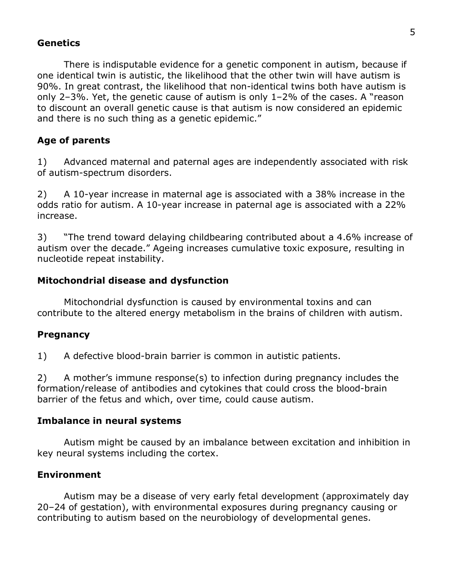#### **Genetics**

There is indisputable evidence for a genetic component in autism, because if one identical twin is autistic, the likelihood that the other twin will have autism is 90%. In great contrast, the likelihood that non-identical twins both have autism is only 2–3%. Yet, the genetic cause of autism is only 1–2% of the cases. A "reason to discount an overall genetic cause is that autism is now considered an epidemic and there is no such thing as a genetic epidemic."

#### **Age of parents**

1) Advanced maternal and paternal ages are independently associated with risk of autism-spectrum disorders.

2) A 10-year increase in maternal age is associated with a 38% increase in the odds ratio for autism. A 10-year increase in paternal age is associated with a 22% increase.

3) "The trend toward delaying childbearing contributed about a 4.6% increase of autism over the decade." Ageing increases cumulative toxic exposure, resulting in nucleotide repeat instability.

#### **Mitochondrial disease and dysfunction**

Mitochondrial dysfunction is caused by environmental toxins and can contribute to the altered energy metabolism in the brains of children with autism.

#### **Pregnancy**

1) A defective blood-brain barrier is common in autistic patients.

2) A mother's immune response(s) to infection during pregnancy includes the formation/release of antibodies and cytokines that could cross the blood-brain barrier of the fetus and which, over time, could cause autism.

#### **Imbalance in neural systems**

Autism might be caused by an imbalance between excitation and inhibition in key neural systems including the cortex.

#### **Environment**

Autism may be a disease of very early fetal development (approximately day 20–24 of gestation), with environmental exposures during pregnancy causing or contributing to autism based on the neurobiology of developmental genes.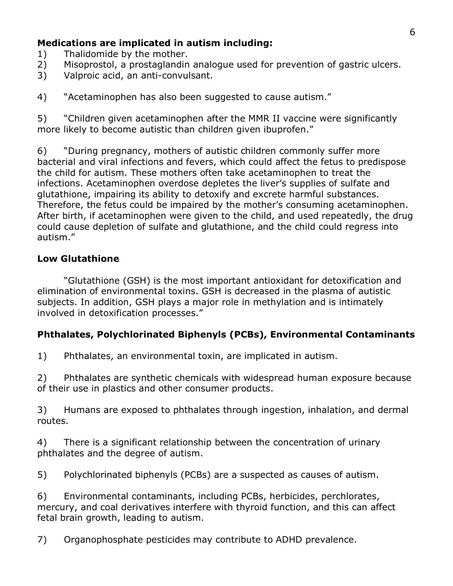## **Medications are implicated in autism including:**

- 1) Thalidomide by the mother.
- 2) Misoprostol, a prostaglandin analogue used for prevention of gastric ulcers.
- 3) Valproic acid, an anti-convulsant.

4) "Acetaminophen has also been suggested to cause autism."

5) "Children given acetaminophen after the MMR II vaccine were significantly more likely to become autistic than children given ibuprofen."

6) "During pregnancy, mothers of autistic children commonly suffer more bacterial and viral infections and fevers, which could affect the fetus to predispose the child for autism. These mothers often take acetaminophen to treat the infections. Acetaminophen overdose depletes the liver's supplies of sulfate and glutathione, impairing its ability to detoxify and excrete harmful substances. Therefore, the fetus could be impaired by the mother's consuming acetaminophen. After birth, if acetaminophen were given to the child, and used repeatedly, the drug could cause depletion of sulfate and glutathione, and the child could regress into autism."

### **Low Glutathione**

"Glutathione (GSH) is the most important antioxidant for detoxification and elimination of environmental toxins. GSH is decreased in the plasma of autistic subjects. In addition, GSH plays a major role in methylation and is intimately involved in detoxification processes."

## **Phthalates, Polychlorinated Biphenyls (PCBs), Environmental Contaminants**

1) Phthalates, an environmental toxin, are implicated in autism.

2) Phthalates are synthetic chemicals with widespread human exposure because of their use in plastics and other consumer products.

3) Humans are exposed to phthalates through ingestion, inhalation, and dermal routes.

4) There is a significant relationship between the concentration of urinary phthalates and the degree of autism.

5) Polychlorinated biphenyls (PCBs) are a suspected as causes of autism.

6) Environmental contaminants, including PCBs, herbicides, perchlorates, mercury, and coal derivatives interfere with thyroid function, and this can affect fetal brain growth, leading to autism.

7) Organophosphate pesticides may contribute to ADHD prevalence.